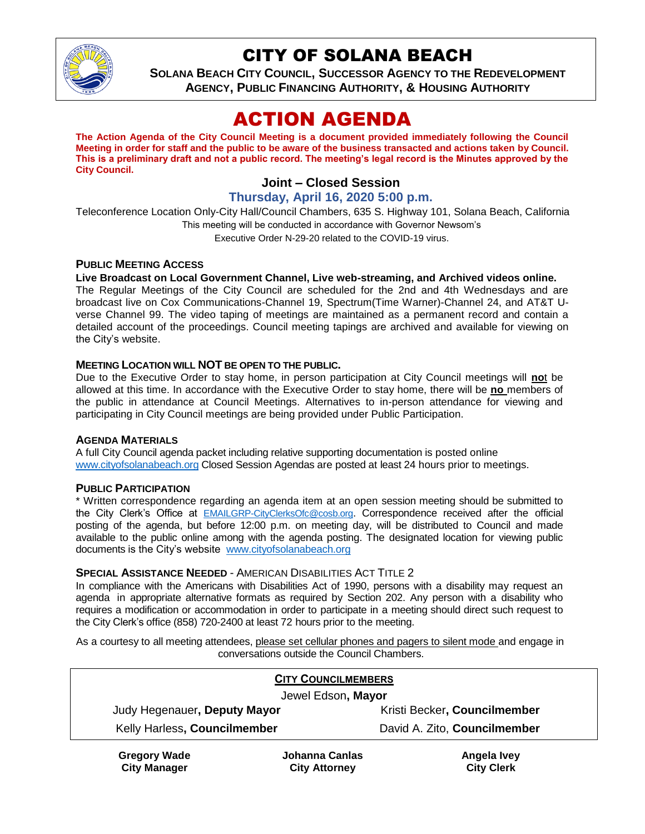

## CITY OF SOLANA BEACH

**SOLANA BEACH CITY COUNCIL, SUCCESSOR AGENCY TO THE REDEVELOPMENT AGENCY, PUBLIC FINANCING AUTHORITY, & HOUSING AUTHORITY**

# ACTION AGENDA

**The Action Agenda of the City Council Meeting is a document provided immediately following the Council Meeting in order for staff and the public to be aware of the business transacted and actions taken by Council. This is a preliminary draft and not a public record. The meeting's legal record is the Minutes approved by the City Council.**

## **Joint – Closed Session**

#### **Thursday, April 16, 2020 5:00 p.m.**

Teleconference Location Only-City Hall/Council Chambers, 635 S. Highway 101, Solana Beach, California This meeting will be conducted in accordance with Governor Newsom's Executive Order N-29-20 related to the COVID-19 virus.

#### **PUBLIC MEETING ACCESS**

#### **Live Broadcast on Local Government Channel, Live web-streaming, and Archived videos online.**

The Regular Meetings of the City Council are scheduled for the 2nd and 4th Wednesdays and are broadcast live on Cox Communications-Channel 19, Spectrum(Time Warner)-Channel 24, and AT&T Uverse Channel 99. The video taping of meetings are maintained as a permanent record and contain a detailed account of the proceedings. Council meeting tapings are archived and available for viewing on the City's website.

#### **MEETING LOCATION WILL NOT BE OPEN TO THE PUBLIC.**

Due to the Executive Order to stay home, in person participation at City Council meetings will **no**t be allowed at this time. In accordance with the Executive Order to stay home, there will be **no** members of the public in attendance at Council Meetings. Alternatives to in-person attendance for viewing and participating in City Council meetings are being provided under Public Participation.

#### **AGENDA MATERIALS**

A full City Council agenda packet including relative supporting documentation is posted online [www.cityofsolanabeach.org](https://urldefense.proofpoint.com/v2/url?u=http-3A__www.cityofsolanabeach.org&d=DwQFAg&c=euGZstcaTDllvimEN8b7jXrwqOf-v5A_CdpgnVfiiMM&r=1XAsCUuqwK_tji2t0s1uIQ&m=wny2RVfZJ2tN24LkqZmkUWNpwL_peNtTZUBlTBZiMM4&s=6ATguqxJUOD7VVtloplAbyuyNaVcEh6Fl4q1iw55lCY&e=) Closed Session Agendas are posted at least 24 hours prior to meetings.

#### **PUBLIC PARTICIPATION**

\* Written correspondence regarding an agenda item at an open session meeting should be submitted to the City Clerk's Office at [EMAILGRP-CityClerksOfc@cosb.org](mailto:EMAILGRP-CityClerksOfc@cosb.org). Correspondence received after the official posting of the agenda, but before 12:00 p.m. on meeting day, will be distributed to Council and made available to the public online among with the agenda posting. The designated location for viewing public documents is the City's website [www.cityofsolanabeach.org](http://www.cityofsolanabeach.org/)

#### **SPECIAL ASSISTANCE NEEDED** - AMERICAN DISABILITIES ACT TITLE 2

In compliance with the Americans with Disabilities Act of 1990, persons with a disability may request an agenda in appropriate alternative formats as required by Section 202. Any person with a disability who requires a modification or accommodation in order to participate in a meeting should direct such request to the City Clerk's office (858) 720-2400 at least 72 hours prior to the meeting.

As a courtesy to all meeting attendees, please set cellular phones and pagers to silent mode and engage in conversations outside the Council Chambers.

| <b>CITY COUNCILMEMBERS</b>   |                |                              |
|------------------------------|----------------|------------------------------|
| Jewel Edson, Mayor           |                |                              |
| Judy Hegenauer, Deputy Mayor |                | Kristi Becker, Councilmember |
| Kelly Harless, Councilmember |                | David A. Zito, Councilmember |
| <b>Gregory Wade</b>          | Johanna Canlas | Angela Ivey                  |

**City Manager**

**Johanna Canlas City Attorney**

**Angela Ivey City Clerk**